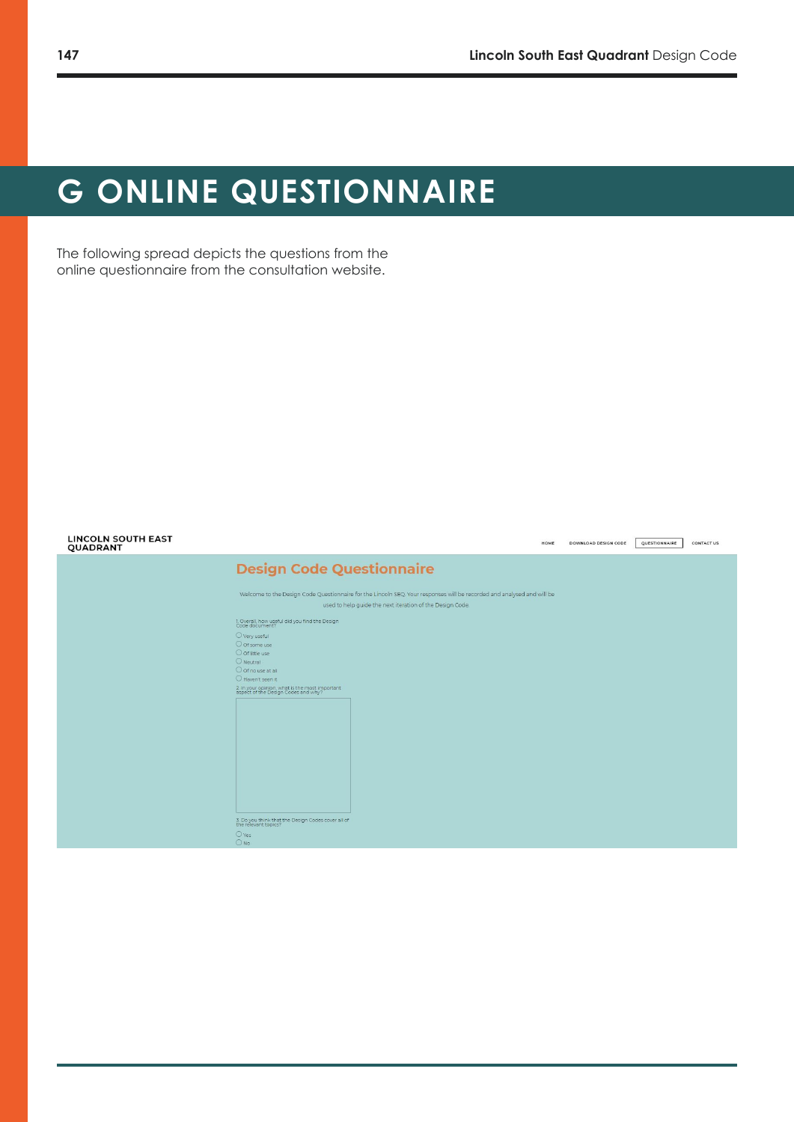# **G ONLINE QUESTIONNAIRE**

The following spread depicts the questions from the online questionnaire from the consultation website.

| <b>LINCOLN SOUTH EAST</b><br>QUADRANT | CONTACT US<br>DOWNLOAD DESIGN CODE<br>QUESTIONNAIRE<br>HOME                                                                                                                         |
|---------------------------------------|-------------------------------------------------------------------------------------------------------------------------------------------------------------------------------------|
|                                       | <b>Design Code Questionnaire</b>                                                                                                                                                    |
|                                       | Welcome to the Design Code Questionnaire for the Lincoln SEQ. Your responses will be recorded and analysed and will be<br>used to help guide the next iteration of the Design Code. |
|                                       | 1. Overall, how useful did you find the Design<br>Code document?                                                                                                                    |
|                                       | O Very useful<br>O of some use<br>O of little use                                                                                                                                   |
|                                       | $O$ Neutral<br>O Of no use at all<br>O Haven't seen it                                                                                                                              |
|                                       | 2. In your opinion, what is the most important<br>aspect of the Design Codes and why?                                                                                               |
|                                       |                                                                                                                                                                                     |
|                                       |                                                                                                                                                                                     |
|                                       |                                                                                                                                                                                     |
|                                       |                                                                                                                                                                                     |
|                                       | 3. Do you think that the Design Codes cover all of<br>the relevant topics?                                                                                                          |
|                                       | $O$ Yes<br>ONO                                                                                                                                                                      |
|                                       |                                                                                                                                                                                     |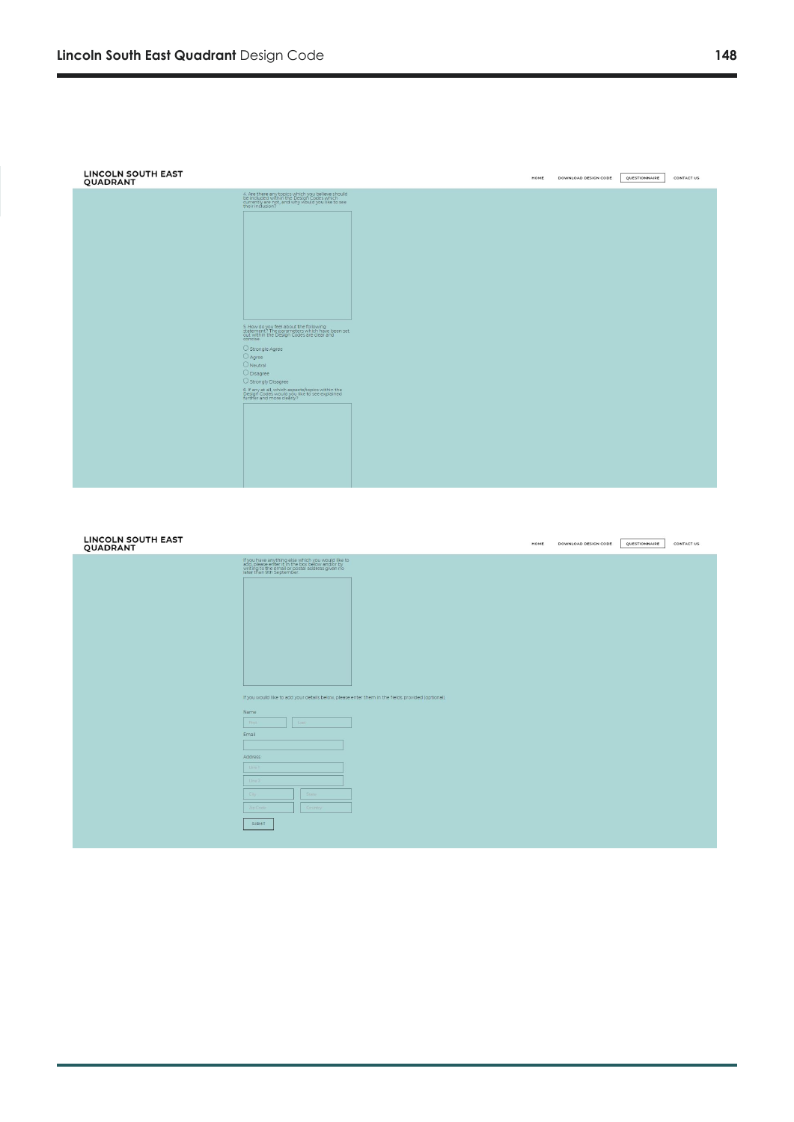| <b>LINCOLN SOUTH EAST</b><br>QUADRANT |                                                                                                                                                                       | <b>HOME</b> | DOWNLOAD DESIGN CODE | QUESTIONNAIRE | <b>CONTACT US</b> |
|---------------------------------------|-----------------------------------------------------------------------------------------------------------------------------------------------------------------------|-------------|----------------------|---------------|-------------------|
|                                       | 4. Are there any topics which you believe should<br>be included within the Design Codes which<br>currently are not, and why would you like to see<br>their inclusion? |             |                      |               |                   |
|                                       |                                                                                                                                                                       |             |                      |               |                   |
|                                       |                                                                                                                                                                       |             |                      |               |                   |
|                                       |                                                                                                                                                                       |             |                      |               |                   |
|                                       |                                                                                                                                                                       |             |                      |               |                   |
|                                       | 5. How do you feel about the following<br>statement? The parameters which have been set<br>out within the Design Codes are clear and<br>concise.                      |             |                      |               |                   |
|                                       | $\bigcirc$ Strongle Agree<br>O Agree<br>$O$ Neutral                                                                                                                   |             |                      |               |                   |
|                                       | O Disagree<br>O Strongly Disagree                                                                                                                                     |             |                      |               |                   |
|                                       | 6. If any at all, which aspects/topics within the<br>Design Codes would you like to see explained<br>further and more clearly?                                        |             |                      |               |                   |
|                                       |                                                                                                                                                                       |             |                      |               |                   |
|                                       |                                                                                                                                                                       |             |                      |               |                   |
|                                       |                                                                                                                                                                       |             |                      |               |                   |

| LINCOLN SOUTH EAST<br>QUADRANT |          |                                                                                                                                                                                      |                                                                                                   | HOME | DOWNLOAD DESIGN CODE | QUESTIONNAIRE | CONTACT US |
|--------------------------------|----------|--------------------------------------------------------------------------------------------------------------------------------------------------------------------------------------|---------------------------------------------------------------------------------------------------|------|----------------------|---------------|------------|
|                                |          | If you have anything else which you would like to<br>add, please enter it in the box below and/or by<br>writing to the email or postal address given no<br>later than 9th September. |                                                                                                   |      |                      |               |            |
|                                |          |                                                                                                                                                                                      | If you would like to add your details below, please enter them in the fields provided (optional). |      |                      |               |            |
|                                | Name     |                                                                                                                                                                                      |                                                                                                   |      |                      |               |            |
|                                | First    | Last                                                                                                                                                                                 |                                                                                                   |      |                      |               |            |
|                                | Email    |                                                                                                                                                                                      |                                                                                                   |      |                      |               |            |
|                                |          |                                                                                                                                                                                      |                                                                                                   |      |                      |               |            |
|                                | Address  |                                                                                                                                                                                      |                                                                                                   |      |                      |               |            |
|                                | Line 1   |                                                                                                                                                                                      |                                                                                                   |      |                      |               |            |
|                                | Line 2   |                                                                                                                                                                                      |                                                                                                   |      |                      |               |            |
|                                | City     | Stato                                                                                                                                                                                |                                                                                                   |      |                      |               |            |
|                                | Zip Code | Country.                                                                                                                                                                             |                                                                                                   |      |                      |               |            |
|                                | SUBMIT   |                                                                                                                                                                                      |                                                                                                   |      |                      |               |            |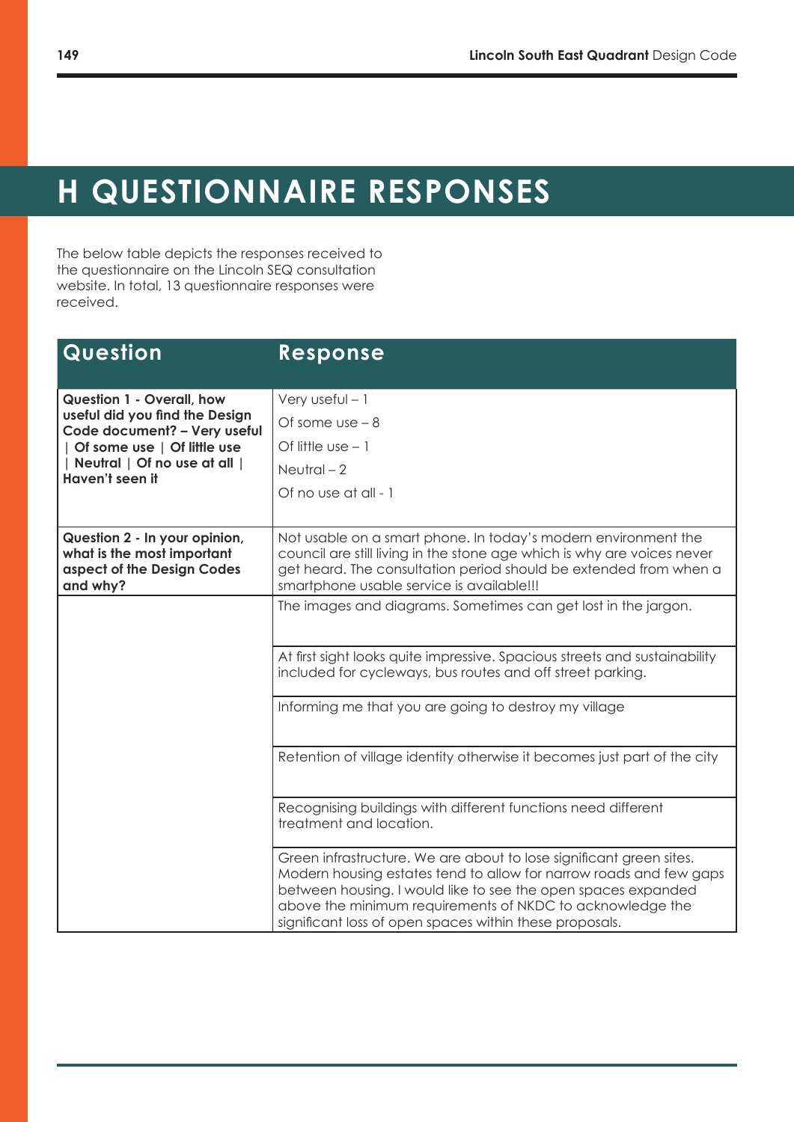## **H QUESTIONNAIRE RESPONSES**

The below table depicts the responses received to the questionnaire on the Lincoln SEQ consultation website. In total, 13 questionnaire responses were received.

| Question                                                                                                                                                                             | Response                                                                                                                                                                                                                                                                                                                           |
|--------------------------------------------------------------------------------------------------------------------------------------------------------------------------------------|------------------------------------------------------------------------------------------------------------------------------------------------------------------------------------------------------------------------------------------------------------------------------------------------------------------------------------|
| <b>Question 1 - Overall, how</b><br>useful did you find the Design<br>Code document? - Very useful<br>Of some use   Of little use<br>Neutral   Of no use at all  <br>Haven't seen it | Very useful $-1$<br>Of some $use - 8$<br>Of little $use - 1$<br>Neutral $-2$<br>Of no use at all - 1                                                                                                                                                                                                                               |
| Question 2 - In your opinion,<br>what is the most important<br>aspect of the Design Codes<br>and why?                                                                                | Not usable on a smart phone. In today's modern environment the<br>council are still living in the stone age which is why are voices never<br>get heard. The consultation period should be extended from when a<br>smartphone usable service is available!!!                                                                        |
|                                                                                                                                                                                      | The images and diagrams. Sometimes can get lost in the jargon.                                                                                                                                                                                                                                                                     |
|                                                                                                                                                                                      | At first sight looks quite impressive. Spacious streets and sustainability<br>included for cycleways, bus routes and off street parking.                                                                                                                                                                                           |
|                                                                                                                                                                                      | Informing me that you are going to destroy my village                                                                                                                                                                                                                                                                              |
|                                                                                                                                                                                      | Retention of village identity otherwise it becomes just part of the city                                                                                                                                                                                                                                                           |
|                                                                                                                                                                                      | Recognising buildings with different functions need different<br>treatment and location.                                                                                                                                                                                                                                           |
|                                                                                                                                                                                      | Green infrastructure. We are about to lose significant green sites.<br>Modern housing estates tend to allow for narrow roads and few gaps<br>between housing. I would like to see the open spaces expanded<br>above the minimum requirements of NKDC to acknowledge the<br>significant loss of open spaces within these proposals. |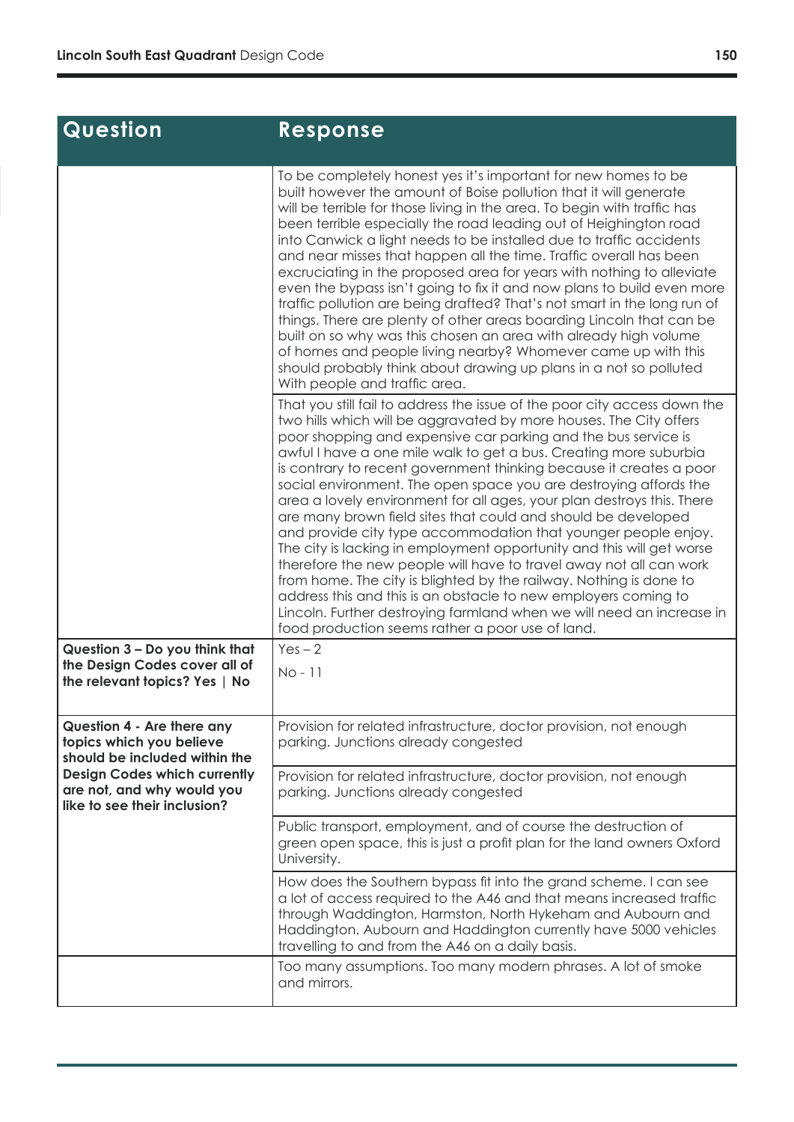$\overline{\phantom{a}}$ 

| <b>Question</b>                                                                                   | <b>Response</b>                                                                                                                                                                                                                                                                                                                                                                                                                                                                                                                                                                                                                                                                                                                                                                                                                                                                                                                                                                                                                                                      |
|---------------------------------------------------------------------------------------------------|----------------------------------------------------------------------------------------------------------------------------------------------------------------------------------------------------------------------------------------------------------------------------------------------------------------------------------------------------------------------------------------------------------------------------------------------------------------------------------------------------------------------------------------------------------------------------------------------------------------------------------------------------------------------------------------------------------------------------------------------------------------------------------------------------------------------------------------------------------------------------------------------------------------------------------------------------------------------------------------------------------------------------------------------------------------------|
|                                                                                                   | To be completely honest yes it's important for new homes to be<br>built however the amount of Boise pollution that it will generate<br>will be terrible for those living in the area. To begin with traffic has<br>been terrible especially the road leading out of Heighington road<br>into Canwick a light needs to be installed due to traffic accidents<br>and near misses that happen all the time. Traffic overall has been<br>excruciating in the proposed area for years with nothing to alleviate<br>even the bypass isn't going to fix it and now plans to build even more<br>traffic pollution are being drafted? That's not smart in the long run of<br>things. There are plenty of other areas boarding Lincoln that can be<br>built on so why was this chosen an area with already high volume<br>of homes and people living nearby? Whomever came up with this<br>should probably think about drawing up plans in a not so polluted<br>With people and traffic area.                                                                                  |
|                                                                                                   | That you still fail to address the issue of the poor city access down the<br>two hills which will be aggravated by more houses. The City offers<br>poor shopping and expensive car parking and the bus service is<br>awful I have a one mile walk to get a bus. Creating more suburbia<br>is contrary to recent government thinking because it creates a poor<br>social environment. The open space you are destroying affords the<br>area a lovely environment for all ages, your plan destroys this. There<br>are many brown field sites that could and should be developed<br>and provide city type accommodation that younger people enjoy.<br>The city is lacking in employment opportunity and this will get worse<br>therefore the new people will have to travel away not all can work<br>from home. The city is blighted by the railway. Nothing is done to<br>address this and this is an obstacle to new employers coming to<br>Lincoln. Further destroying farmland when we will need an increase in<br>food production seems rather a poor use of land. |
| Question 3 - Do you think that<br>the Design Codes cover all of<br>the relevant topics? Yes   No  | $Yes - 2$<br>No - 11                                                                                                                                                                                                                                                                                                                                                                                                                                                                                                                                                                                                                                                                                                                                                                                                                                                                                                                                                                                                                                                 |
| <b>Question 4 - Are there any</b><br>topics which you believe<br>should be included within the    | Provision for related infrastructure, doctor provision, not enough<br>parking. Junctions already congested                                                                                                                                                                                                                                                                                                                                                                                                                                                                                                                                                                                                                                                                                                                                                                                                                                                                                                                                                           |
| <b>Design Codes which currently</b><br>are not, and why would you<br>like to see their inclusion? | Provision for related infrastructure, doctor provision, not enough<br>parking. Junctions already congested                                                                                                                                                                                                                                                                                                                                                                                                                                                                                                                                                                                                                                                                                                                                                                                                                                                                                                                                                           |
|                                                                                                   | Public transport, employment, and of course the destruction of<br>green open space, this is just a profit plan for the land owners Oxford<br>University.                                                                                                                                                                                                                                                                                                                                                                                                                                                                                                                                                                                                                                                                                                                                                                                                                                                                                                             |
|                                                                                                   | How does the Southern bypass fit into the grand scheme. I can see<br>a lot of access required to the A46 and that means increased traffic<br>through Waddington, Harmston, North Hykeham and Aubourn and<br>Haddington. Aubourn and Haddington currently have 5000 vehicles<br>travelling to and from the A46 on a daily basis.                                                                                                                                                                                                                                                                                                                                                                                                                                                                                                                                                                                                                                                                                                                                      |
|                                                                                                   | Too many assumptions. Too many modern phrases. A lot of smoke<br>and mirrors.                                                                                                                                                                                                                                                                                                                                                                                                                                                                                                                                                                                                                                                                                                                                                                                                                                                                                                                                                                                        |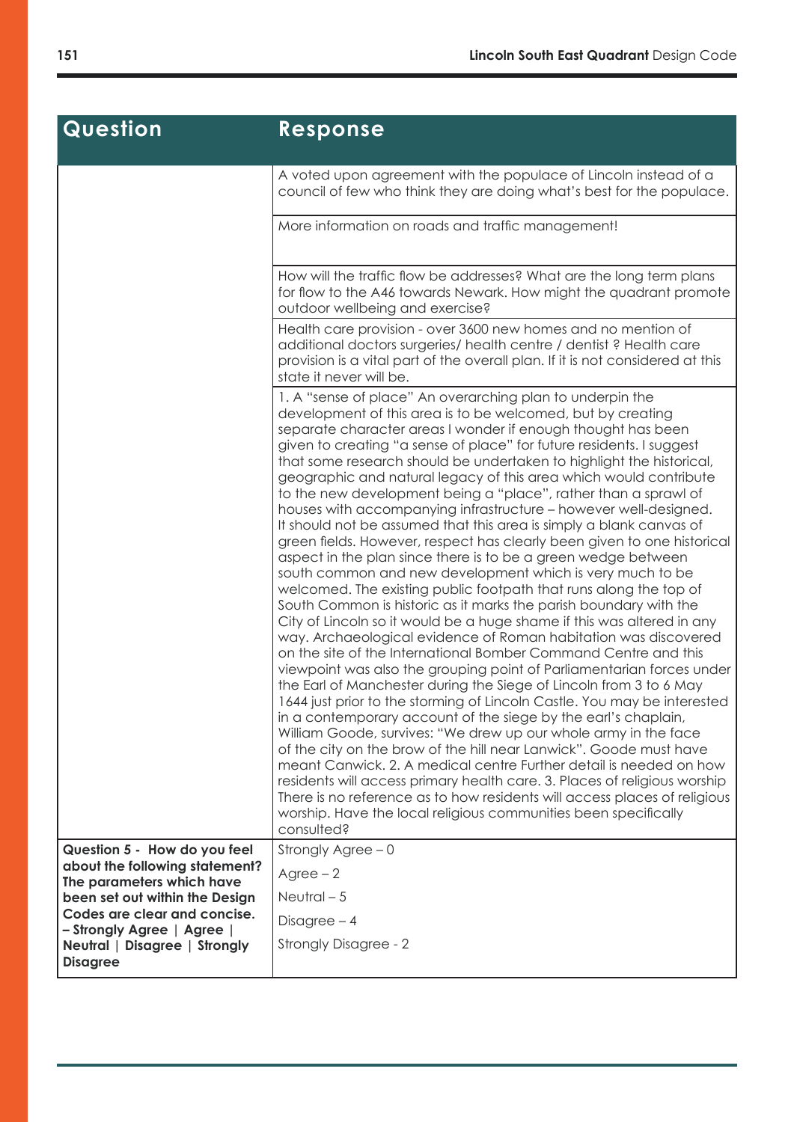## **Question Response**

|                                                                                | A voted upon agreement with the populace of Lincoln instead of a<br>council of few who think they are doing what's best for the populace.                                                                                                                                                                                                                                                                                                                                                                                                                                                                                                                                                                                                                                                                                                                                                                                                                                                                                                                                                                                                                                                                                                                                                                                                                                                                                                                                                                                                                                                                                                                                                                                                                                                                                                                                                                                                             |
|--------------------------------------------------------------------------------|-------------------------------------------------------------------------------------------------------------------------------------------------------------------------------------------------------------------------------------------------------------------------------------------------------------------------------------------------------------------------------------------------------------------------------------------------------------------------------------------------------------------------------------------------------------------------------------------------------------------------------------------------------------------------------------------------------------------------------------------------------------------------------------------------------------------------------------------------------------------------------------------------------------------------------------------------------------------------------------------------------------------------------------------------------------------------------------------------------------------------------------------------------------------------------------------------------------------------------------------------------------------------------------------------------------------------------------------------------------------------------------------------------------------------------------------------------------------------------------------------------------------------------------------------------------------------------------------------------------------------------------------------------------------------------------------------------------------------------------------------------------------------------------------------------------------------------------------------------------------------------------------------------------------------------------------------------|
|                                                                                | More information on roads and traffic management!                                                                                                                                                                                                                                                                                                                                                                                                                                                                                                                                                                                                                                                                                                                                                                                                                                                                                                                                                                                                                                                                                                                                                                                                                                                                                                                                                                                                                                                                                                                                                                                                                                                                                                                                                                                                                                                                                                     |
|                                                                                | How will the traffic flow be addresses? What are the long term plans<br>for flow to the A46 towards Newark. How might the quadrant promote<br>outdoor wellbeing and exercise?                                                                                                                                                                                                                                                                                                                                                                                                                                                                                                                                                                                                                                                                                                                                                                                                                                                                                                                                                                                                                                                                                                                                                                                                                                                                                                                                                                                                                                                                                                                                                                                                                                                                                                                                                                         |
|                                                                                | Health care provision - over 3600 new homes and no mention of<br>additional doctors surgeries/ health centre / dentist? Health care<br>provision is a vital part of the overall plan. If it is not considered at this<br>state it never will be.                                                                                                                                                                                                                                                                                                                                                                                                                                                                                                                                                                                                                                                                                                                                                                                                                                                                                                                                                                                                                                                                                                                                                                                                                                                                                                                                                                                                                                                                                                                                                                                                                                                                                                      |
|                                                                                | 1. A "sense of place" An overarching plan to underpin the<br>development of this area is to be welcomed, but by creating<br>separate character areas I wonder if enough thought has been<br>given to creating "a sense of place" for future residents. I suggest<br>that some research should be undertaken to highlight the historical,<br>geographic and natural legacy of this area which would contribute<br>to the new development being a "place", rather than a sprawl of<br>houses with accompanying infrastructure - however well-designed.<br>It should not be assumed that this area is simply a blank canvas of<br>green fields. However, respect has clearly been given to one historical<br>aspect in the plan since there is to be a green wedge between<br>south common and new development which is very much to be<br>welcomed. The existing public footpath that runs along the top of<br>South Common is historic as it marks the parish boundary with the<br>City of Lincoln so it would be a huge shame if this was altered in any<br>way. Archaeological evidence of Roman habitation was discovered<br>on the site of the International Bomber Command Centre and this<br>viewpoint was also the grouping point of Parliamentarian forces under<br>the Earl of Manchester during the Siege of Lincoln from 3 to 6 May<br>1644 just prior to the storming of Lincoln Castle. You may be interested<br>in a contemporary account of the siege by the earl's chaplain,<br>William Goode, survives: "We drew up our whole army in the face<br>of the city on the brow of the hill near Lanwick". Goode must have<br>meant Canwick, 2. A medical centre Further detail is needed on how<br>residents will access primary health care. 3. Places of religious worship<br>There is no reference as to how residents will access places of religious<br>worship. Have the local religious communities been specifically<br>consulted? |
| Question 5 - How do you feel                                                   | Strongly Agree $-0$                                                                                                                                                                                                                                                                                                                                                                                                                                                                                                                                                                                                                                                                                                                                                                                                                                                                                                                                                                                                                                                                                                                                                                                                                                                                                                                                                                                                                                                                                                                                                                                                                                                                                                                                                                                                                                                                                                                                   |
| about the following statement?                                                 | $Agree - 2$                                                                                                                                                                                                                                                                                                                                                                                                                                                                                                                                                                                                                                                                                                                                                                                                                                                                                                                                                                                                                                                                                                                                                                                                                                                                                                                                                                                                                                                                                                                                                                                                                                                                                                                                                                                                                                                                                                                                           |
| The parameters which have<br>been set out within the Design                    | Neutral $-5$                                                                                                                                                                                                                                                                                                                                                                                                                                                                                                                                                                                                                                                                                                                                                                                                                                                                                                                                                                                                                                                                                                                                                                                                                                                                                                                                                                                                                                                                                                                                                                                                                                                                                                                                                                                                                                                                                                                                          |
| Codes are clear and concise.                                                   | $Disagree - 4$                                                                                                                                                                                                                                                                                                                                                                                                                                                                                                                                                                                                                                                                                                                                                                                                                                                                                                                                                                                                                                                                                                                                                                                                                                                                                                                                                                                                                                                                                                                                                                                                                                                                                                                                                                                                                                                                                                                                        |
| - Strongly Agree   Agree  <br>Neutral   Disagree   Strongly<br><b>Disagree</b> | <b>Strongly Disagree - 2</b>                                                                                                                                                                                                                                                                                                                                                                                                                                                                                                                                                                                                                                                                                                                                                                                                                                                                                                                                                                                                                                                                                                                                                                                                                                                                                                                                                                                                                                                                                                                                                                                                                                                                                                                                                                                                                                                                                                                          |
|                                                                                |                                                                                                                                                                                                                                                                                                                                                                                                                                                                                                                                                                                                                                                                                                                                                                                                                                                                                                                                                                                                                                                                                                                                                                                                                                                                                                                                                                                                                                                                                                                                                                                                                                                                                                                                                                                                                                                                                                                                                       |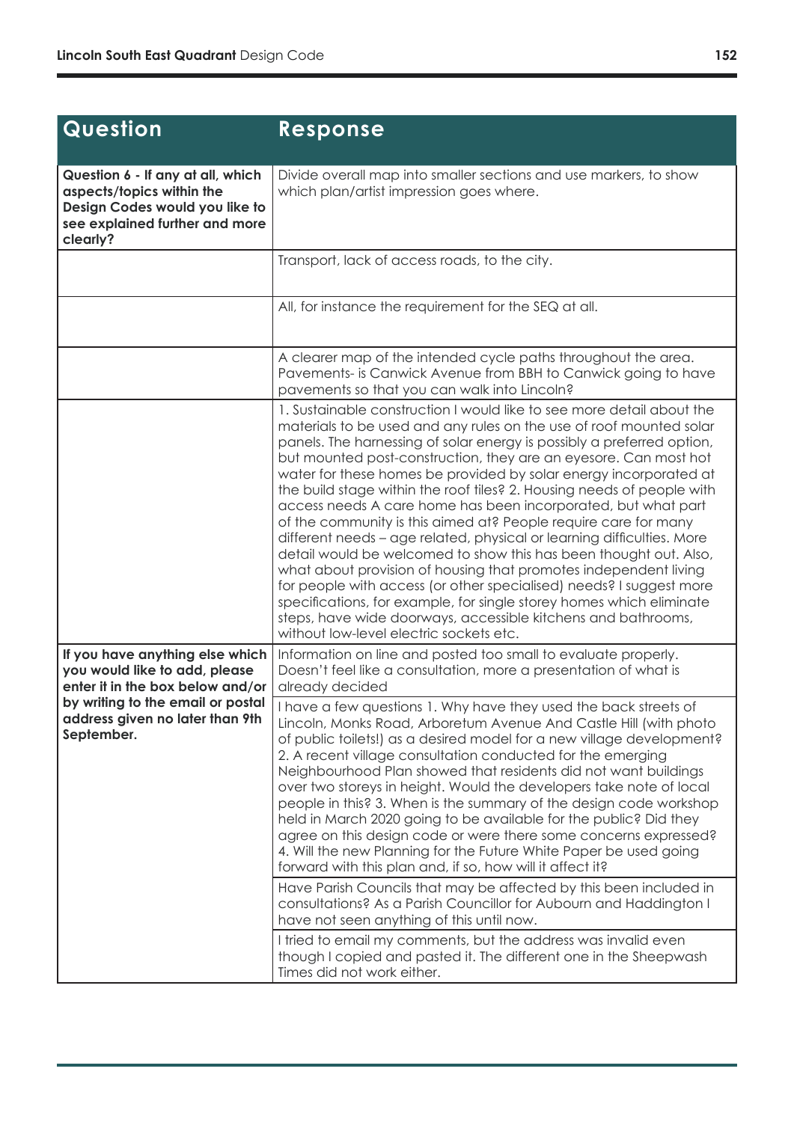| Question                                                                                                                                       | Response                                                                                                                                                                                                                                                                                                                                                                                                                                                                                                                                                                                                                                                                                                                                                                                                                                                                                                                                                                                                                                                    |
|------------------------------------------------------------------------------------------------------------------------------------------------|-------------------------------------------------------------------------------------------------------------------------------------------------------------------------------------------------------------------------------------------------------------------------------------------------------------------------------------------------------------------------------------------------------------------------------------------------------------------------------------------------------------------------------------------------------------------------------------------------------------------------------------------------------------------------------------------------------------------------------------------------------------------------------------------------------------------------------------------------------------------------------------------------------------------------------------------------------------------------------------------------------------------------------------------------------------|
| Question 6 - If any at all, which<br>aspects/topics within the<br>Design Codes would you like to<br>see explained further and more<br>clearly? | Divide overall map into smaller sections and use markers, to show<br>which plan/artist impression goes where.                                                                                                                                                                                                                                                                                                                                                                                                                                                                                                                                                                                                                                                                                                                                                                                                                                                                                                                                               |
|                                                                                                                                                | Transport, lack of access roads, to the city.                                                                                                                                                                                                                                                                                                                                                                                                                                                                                                                                                                                                                                                                                                                                                                                                                                                                                                                                                                                                               |
|                                                                                                                                                | All, for instance the requirement for the SEQ at all.                                                                                                                                                                                                                                                                                                                                                                                                                                                                                                                                                                                                                                                                                                                                                                                                                                                                                                                                                                                                       |
|                                                                                                                                                | A clearer map of the intended cycle paths throughout the area.<br>Pavements- is Canwick Avenue from BBH to Canwick going to have<br>pavements so that you can walk into Lincoln?                                                                                                                                                                                                                                                                                                                                                                                                                                                                                                                                                                                                                                                                                                                                                                                                                                                                            |
|                                                                                                                                                | 1. Sustainable construction I would like to see more detail about the<br>materials to be used and any rules on the use of roof mounted solar<br>panels. The harnessing of solar energy is possibly a preferred option,<br>but mounted post-construction, they are an eyesore. Can most hot<br>water for these homes be provided by solar energy incorporated at<br>the build stage within the roof tiles? 2. Housing needs of people with<br>access needs A care home has been incorporated, but what part<br>of the community is this aimed at? People require care for many<br>different needs - age related, physical or learning difficulties. More<br>detail would be welcomed to show this has been thought out. Also,<br>what about provision of housing that promotes independent living<br>for people with access (or other specialised) needs? I suggest more<br>specifications, for example, for single storey homes which eliminate<br>steps, have wide doorways, accessible kitchens and bathrooms,<br>without low-level electric sockets etc. |
| If you have anything else which<br>you would like to add, please<br>enter it in the box below and/or                                           | Information on line and posted too small to evaluate properly.<br>Doesn't feel like a consultation, more a presentation of what is<br>already decided                                                                                                                                                                                                                                                                                                                                                                                                                                                                                                                                                                                                                                                                                                                                                                                                                                                                                                       |
| by writing to the email or postal<br>address given no later than 9th<br>September.                                                             | I have a few questions 1. Why have they used the back streets of<br>Lincoln, Monks Road, Arboretum Avenue And Castle Hill (with photo<br>of public toilets!) as a desired model for a new village development?<br>2. A recent village consultation conducted for the emerging<br>Neighbourhood Plan showed that residents did not want buildings<br>over two storeys in height. Would the developers take note of local<br>people in this? 3. When is the summary of the design code workshop<br>held in March 2020 going to be available for the public? Did they<br>agree on this design code or were there some concerns expressed?<br>4. Will the new Planning for the Future White Paper be used going<br>forward with this plan and, if so, how will it affect it?<br>Have Parish Councils that may be affected by this been included in<br>consultations? As a Parish Councillor for Aubourn and Haddington I<br>have not seen anything of this until now.                                                                                           |
|                                                                                                                                                | I tried to email my comments, but the address was invalid even<br>though I copied and pasted it. The different one in the Sheepwash<br>Times did not work either.                                                                                                                                                                                                                                                                                                                                                                                                                                                                                                                                                                                                                                                                                                                                                                                                                                                                                           |